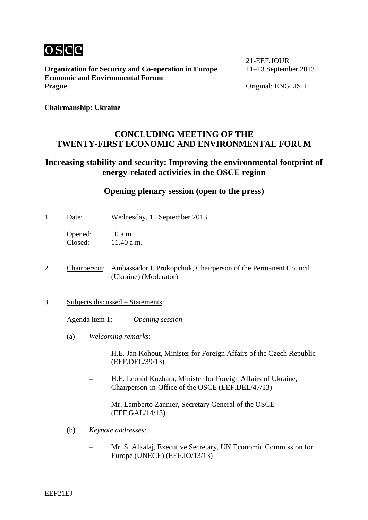

**Organization for Security and Co-operation in Europe** 11–13 September 2013 **Economic and Environmental Forum Prague** Original: ENGLISH

21-EEF.JOUR

**Chairmanship: Ukraine**

## **CONCLUDING MEETING OF THE TWENTY-FIRST ECONOMIC AND ENVIRONMENTAL FORUM**

# **Increasing stability and security: Improving the environmental footprint of energy-related activities in the OSCE region**

## **Opening plenary session (open to the press)**

1. Date: Wednesday, 11 September 2013

Opened: 10 a.m.<br>Closed: 11.40 a.  $11.40$  a.m.

- 2. Chairperson: Ambassador I. Prokopchuk, Chairperson of the Permanent Council (Ukraine) (Moderator)
- 3. Subjects discussed Statements:

Agenda item 1: *Opening session*

- (a) *Welcoming remarks*:
	- H.E. Jan Kohout, Minister for Foreign Affairs of the Czech Republic (EEF.DEL/39/13)
	- H.E. Leonid Kozhara, Minister for Foreign Affairs of Ukraine, Chairperson-in-Office of the OSCE (EEF.DEL/47/13)
	- Mr. Lamberto Zannier, Secretary General of the OSCE (EEF.GAL/14/13)
- (b) *Keynote addresses*:
	- Mr. S. Alkalaj, Executive Secretary, UN Economic Commission for Europe (UNECE) (EEF.IO/13/13)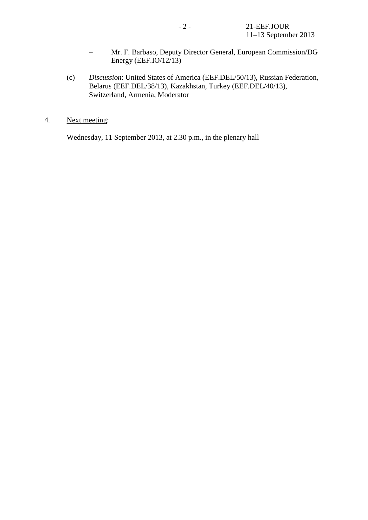- Mr. F. Barbaso, Deputy Director General, European Commission/DG Energy (EEF.IO/12/13)
- (c) *Discussion*: United States of America (EEF.DEL/50/13), Russian Federation, Belarus (EEF.DEL/38/13), Kazakhstan, Turkey (EEF.DEL/40/13), Switzerland, Armenia, Moderator
- 4. Next meeting:

Wednesday, 11 September 2013, at 2.30 p.m., in the plenary hall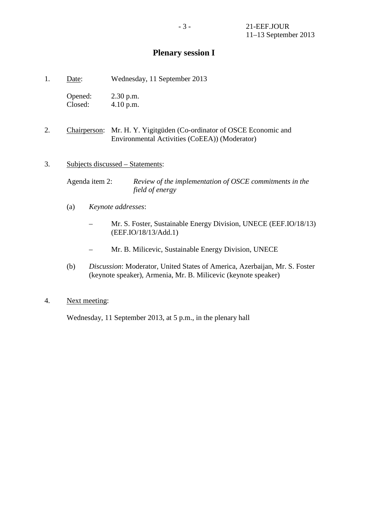# **Plenary session I**

1. Date: Wednesday, 11 September 2013

Opened: 2.30 p.m. Closed: 4.10 p.m.

2. Chairperson: Mr. H. Y. Yigitgüden (Co-ordinator of OSCE Economic and Environmental Activities (CoEEA)) (Moderator)

#### 3. Subjects discussed – Statements:

Agenda item 2: *Review of the implementation of OSCE commitments in the field of energy*

- (a) *Keynote addresses*:
	- Mr. S. Foster, Sustainable Energy Division, UNECE (EEF.IO/18/13) (EEF.IO/18/13/Add.1)
	- Mr. B. Milicevic, Sustainable Energy Division, UNECE
- (b) *Discussion*: Moderator, United States of America, Azerbaijan, Mr. S. Foster (keynote speaker), Armenia, Mr. B. Milicevic (keynote speaker)

### 4. Next meeting:

Wednesday, 11 September 2013, at 5 p.m., in the plenary hall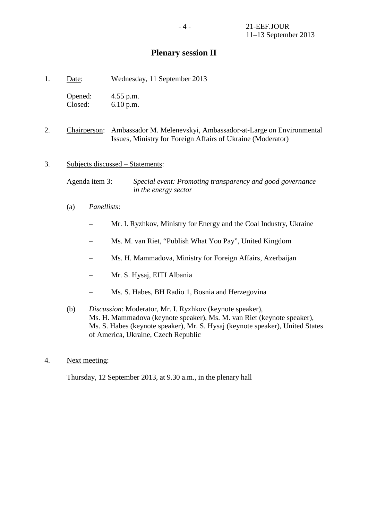# **Plenary session II**

| Date: | Wednesday, 11 September 2013 |  |  |
|-------|------------------------------|--|--|
|       |                              |  |  |

Opened: 4.55 p.m. Closed: 6.10 p.m.

- 2. Chairperson: Ambassador M. Melenevskyi, Ambassador-at-Large on Environmental Issues, Ministry for Foreign Affairs of Ukraine (Moderator)
- 3. Subjects discussed Statements:

Agenda item 3: *Special event: Promoting transparency and good governance in the energy sector*

- (a) *Panellists*:
	- Mr. I. Ryzhkov, Ministry for Energy and the Coal Industry, Ukraine
	- Ms. M. van Riet, "Publish What You Pay", United Kingdom
	- Ms. H. Mammadova, Ministry for Foreign Affairs, Azerbaijan
	- Mr. S. Hysaj, EITI Albania
	- Ms. S. Habes, BH Radio 1, Bosnia and Herzegovina
- (b) *Discussion*: Moderator, Mr. I. Ryzhkov (keynote speaker), Ms. H. Mammadova (keynote speaker), Ms. M. van Riet (keynote speaker), Ms. S. Habes (keynote speaker), Mr. S. Hysaj (keynote speaker), United States of America, Ukraine, Czech Republic
- 4. Next meeting:

Thursday, 12 September 2013, at 9.30 a.m., in the plenary hall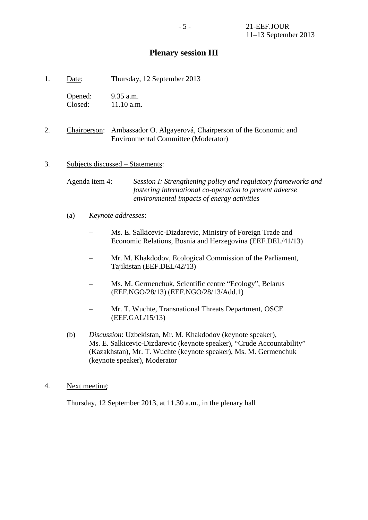# **Plenary session III**

1. Date: Thursday, 12 September 2013

Opened: 9.35 a.m. Closed: 11.10 a.m.

2. Chairperson: Ambassador O. Algayerová, Chairperson of the Economic and Environmental Committee (Moderator)

### 3. Subjects discussed – Statements:

Agenda item 4: *Session I: Strengthening policy and regulatory frameworks and fostering international co-operation to prevent adverse environmental impacts of energy activities*

- (a) *Keynote addresses*:
	- Ms. E. Salkicevic-Dizdarevic, Ministry of Foreign Trade and Economic Relations, Bosnia and Herzegovina (EEF.DEL/41/13)
	- Mr. M. Khakdodov, Ecological Commission of the Parliament, Tajikistan (EEF.DEL/42/13)
	- Ms. M. Germenchuk, Scientific centre "Ecology", Belarus (EEF.NGO/28/13) (EEF.NGO/28/13/Add.1)
	- Mr. T. Wuchte, Transnational Threats Department, OSCE (EEF.GAL/15/13)
- (b) *Discussion*: Uzbekistan, Mr. M. Khakdodov (keynote speaker), Ms. E. Salkicevic-Dizdarevic (keynote speaker), "Crude Accountability" (Kazakhstan), Mr. T. Wuchte (keynote speaker), Ms. M. Germenchuk (keynote speaker), Moderator

### 4. Next meeting:

Thursday, 12 September 2013, at 11.30 a.m., in the plenary hall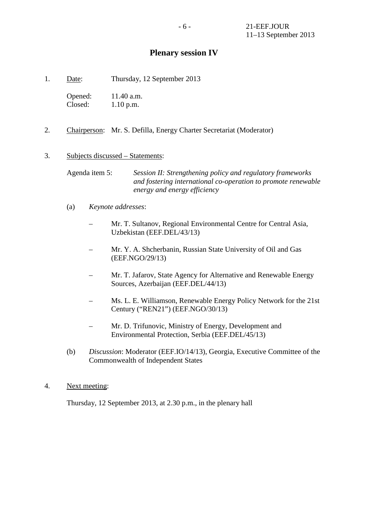# **Plenary session IV**

1. Date: Thursday, 12 September 2013

Opened: 11.40 a.m. Closed: 1.10 p.m.

2. Chairperson: Mr. S. Defilla, Energy Charter Secretariat (Moderator)

### 3. Subjects discussed – Statements:

Agenda item 5: *Session II: Strengthening policy and regulatory frameworks and fostering international co-operation to promote renewable energy and energy efficiency*

- (a) *Keynote addresses*:
	- Mr. T. Sultanov, Regional Environmental Centre for Central Asia, Uzbekistan (EEF.DEL/43/13)
	- Mr. Y. A. Shcherbanin, Russian State University of Oil and Gas (EEF.NGO/29/13)
	- Mr. T. Jafarov, State Agency for Alternative and Renewable Energy Sources, Azerbaijan (EEF.DEL/44/13)
	- Ms. L. E. Williamson, Renewable Energy Policy Network for the 21st Century ("REN21") (EEF.NGO/30/13)
	- Mr. D. Trifunovic, Ministry of Energy, Development and Environmental Protection, Serbia (EEF.DEL/45/13)
- (b) *Discussion*: Moderator (EEF.IO/14/13), Georgia, Executive Committee of the Commonwealth of Independent States

## 4. Next meeting:

Thursday, 12 September 2013, at 2.30 p.m., in the plenary hall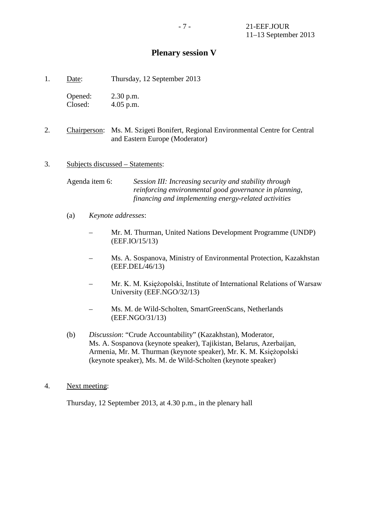# **Plenary session V**

1. Date: Thursday, 12 September 2013

Opened: 2.30 p.m. Closed: 4.05 p.m.

2. Chairperson: Ms. M. Szigeti Bonifert, Regional Environmental Centre for Central and Eastern Europe (Moderator)

### 3. Subjects discussed – Statements:

Agenda item 6: *Session III: Increasing security and stability through reinforcing environmental good governance in planning, financing and implementing energy-related activities*

- (a) *Keynote addresses*:
	- Mr. M. Thurman, United Nations Development Programme (UNDP) (EEF.IO/15/13)
	- Ms. A. Sospanova, Ministry of Environmental Protection, Kazakhstan (EEF.DEL/46/13)
	- Mr. K. M. Księżopolski, Institute of International Relations of Warsaw University (EEF.NGO/32/13)
	- Ms. M. de Wild-Scholten, SmartGreenScans, Netherlands (EEF.NGO/31/13)
- (b) *Discussion*: "Crude Accountability" (Kazakhstan), Moderator, Ms. A. Sospanova (keynote speaker), Tajikistan, Belarus, Azerbaijan, Armenia, Mr. M. Thurman (keynote speaker), Mr. K. M. Księżopolski (keynote speaker), Ms. M. de Wild-Scholten (keynote speaker)
- 4. Next meeting:

Thursday, 12 September 2013, at 4.30 p.m., in the plenary hall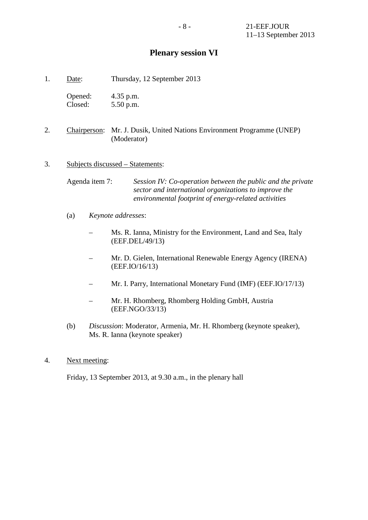# **Plenary session VI**

1. Date: Thursday, 12 September 2013

| Opened: | 4.35 p.m. |
|---------|-----------|
| Closed: | 5.50 p.m. |

2. Chairperson: Mr. J. Dusik, United Nations Environment Programme (UNEP) (Moderator)

### 3. Subjects discussed – Statements:

Agenda item 7: *Session IV: Co-operation between the public and the private sector and international organizations to improve the environmental footprint of energy-related activities*

- (a) *Keynote addresses*:
	- Ms. R. Ianna, Ministry for the Environment, Land and Sea, Italy (EEF.DEL/49/13)
	- Mr. D. Gielen, International Renewable Energy Agency (IRENA) (EEF.IO/16/13)
	- Mr. I. Parry, International Monetary Fund (IMF) (EEF.IO/17/13)
	- Mr. H. Rhomberg, Rhomberg Holding GmbH, Austria (EEF.NGO/33/13)
- (b) *Discussion*: Moderator, Armenia, Mr. H. Rhomberg (keynote speaker), Ms. R. Ianna (keynote speaker)
- 4. Next meeting:

Friday, 13 September 2013, at 9.30 a.m., in the plenary hall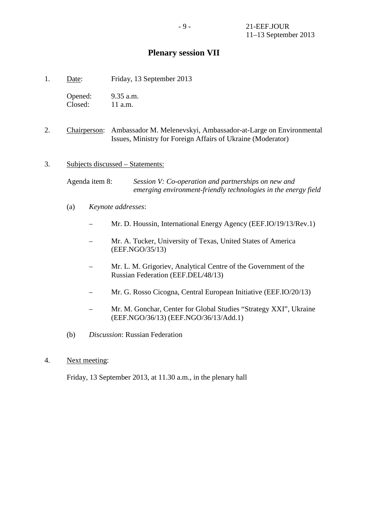# **Plenary session VII**

1. Date: Friday, 13 September 2013

Opened: 9.35 a.m. Closed: 11 a.m.

- 2. Chairperson: Ambassador M. Melenevskyi, Ambassador-at-Large on Environmental Issues, Ministry for Foreign Affairs of Ukraine (Moderator)
- 3. Subjects discussed Statements:

Agenda item 8: *Session V: Co-operation and partnerships on new and emerging environment-friendly technologies in the energy field*

- (a) *Keynote addresses*:
	- Mr. D. Houssin, International Energy Agency (EEF.IO/19/13/Rev.1)
	- Mr. A. Tucker, University of Texas, United States of America (EEF.NGO/35/13)
	- Mr. L. M. Grigoriev, Analytical Centre of the Government of the Russian Federation (EEF.DEL/48/13)
	- Mr. G. Rosso Cicogna, Central European Initiative (EEF.IO/20/13)
	- Mr. M. Gonchar, Center for Global Studies "Strategy XXI", Ukraine (EEF.NGO/36/13) (EEF.NGO/36/13/Add.1)
- (b) *Discussion*: Russian Federation
- 4. Next meeting:

Friday, 13 September 2013, at 11.30 a.m., in the plenary hall